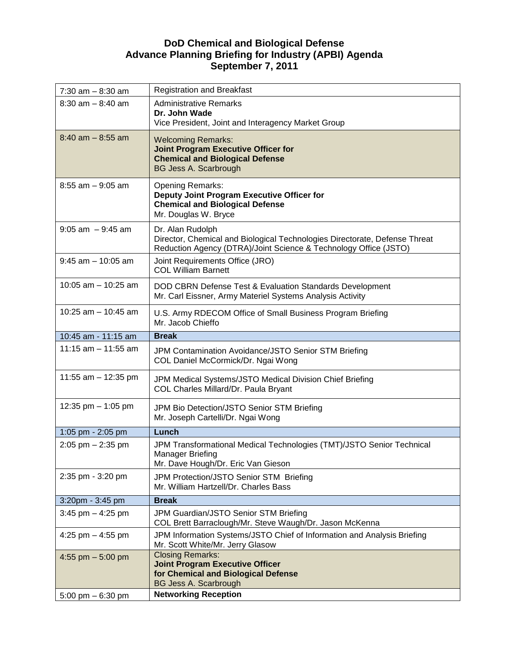## **DoD Chemical and Biological Defense Advance Planning Briefing for Industry (APBI) Agenda September 7, 2011**

| $7:30$ am $-8:30$ am  | <b>Registration and Breakfast</b>                                                                |
|-----------------------|--------------------------------------------------------------------------------------------------|
| $8:30$ am $-8:40$ am  | <b>Administrative Remarks</b>                                                                    |
|                       | Dr. John Wade                                                                                    |
|                       | Vice President, Joint and Interagency Market Group                                               |
| $8:40$ am $-8:55$ am  | <b>Welcoming Remarks:</b>                                                                        |
|                       | <b>Joint Program Executive Officer for</b><br><b>Chemical and Biological Defense</b>             |
|                       | <b>BG Jess A. Scarbrough</b>                                                                     |
| $8:55$ am $-9:05$ am  |                                                                                                  |
|                       | <b>Opening Remarks:</b><br>Deputy Joint Program Executive Officer for                            |
|                       | <b>Chemical and Biological Defense</b>                                                           |
|                       | Mr. Douglas W. Bryce                                                                             |
| $9:05$ am $-9:45$ am  | Dr. Alan Rudolph                                                                                 |
|                       | Director, Chemical and Biological Technologies Directorate, Defense Threat                       |
|                       | Reduction Agency (DTRA)/Joint Science & Technology Office (JSTO)                                 |
| $9:45$ am $-10:05$ am | Joint Requirements Office (JRO)<br><b>COL William Barnett</b>                                    |
|                       |                                                                                                  |
| 10:05 am $-$ 10:25 am | DOD CBRN Defense Test & Evaluation Standards Development                                         |
|                       | Mr. Carl Eissner, Army Materiel Systems Analysis Activity                                        |
| 10:25 am $-$ 10:45 am | U.S. Army RDECOM Office of Small Business Program Briefing                                       |
|                       | Mr. Jacob Chieffo                                                                                |
| 10:45 am - 11:15 am   | <b>Break</b>                                                                                     |
| 11:15 am $-$ 11:55 am | JPM Contamination Avoidance/JSTO Senior STM Briefing                                             |
|                       | COL Daniel McCormick/Dr. Ngai Wong                                                               |
| 11:55 am $-$ 12:35 pm | JPM Medical Systems/JSTO Medical Division Chief Briefing                                         |
|                       | COL Charles Millard/Dr. Paula Bryant                                                             |
|                       |                                                                                                  |
| 12:35 pm $-$ 1:05 pm  | JPM Bio Detection/JSTO Senior STM Briefing<br>Mr. Joseph Cartelli/Dr. Ngai Wong                  |
|                       |                                                                                                  |
| 1:05 pm - 2:05 pm     | Lunch                                                                                            |
| $2:05$ pm $-2:35$ pm  | JPM Transformational Medical Technologies (TMT)/JSTO Senior Technical<br><b>Manager Briefing</b> |
|                       | Mr. Dave Hough/Dr. Eric Van Gieson                                                               |
| 2:35 pm - 3:20 pm     | JPM Protection/JSTO Senior STM Briefing                                                          |
|                       | Mr. William Hartzell/Dr. Charles Bass                                                            |
| 3:20pm - 3:45 pm      | <b>Break</b>                                                                                     |
| $3:45$ pm $-4:25$ pm  | JPM Guardian/JSTO Senior STM Briefing                                                            |
|                       | COL Brett Barraclough/Mr. Steve Waugh/Dr. Jason McKenna                                          |
| 4:25 pm $-$ 4:55 pm   | JPM Information Systems/JSTO Chief of Information and Analysis Briefing                          |
|                       |                                                                                                  |
|                       | Mr. Scott White/Mr. Jerry Glasow                                                                 |
| 4:55 pm $-5:00$ pm    | <b>Closing Remarks:</b>                                                                          |
|                       | <b>Joint Program Executive Officer</b>                                                           |
|                       | for Chemical and Biological Defense<br><b>BG Jess A. Scarbrough</b>                              |